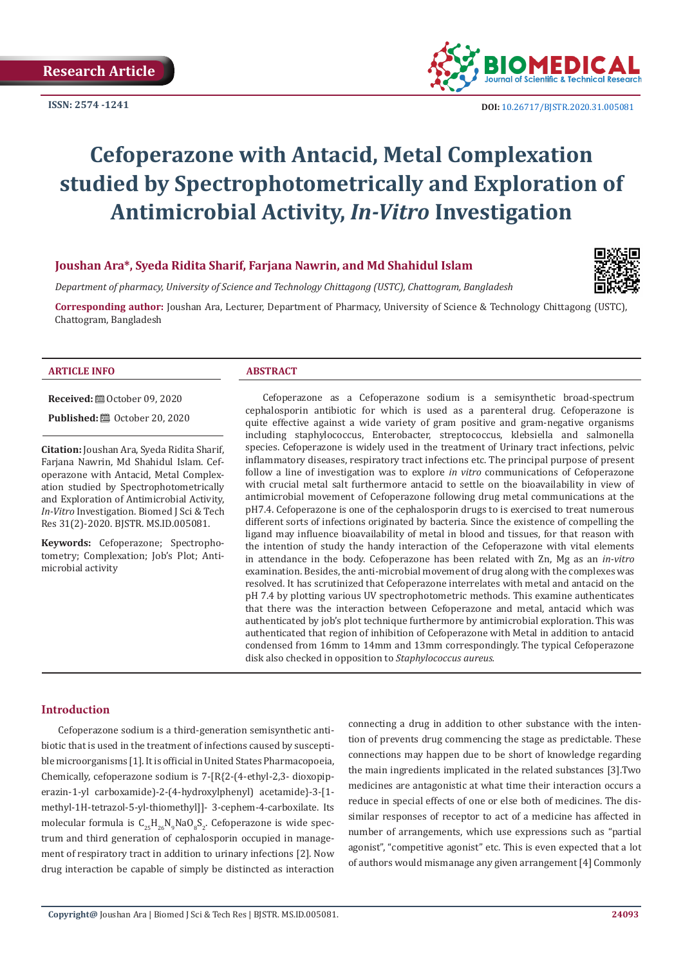**ISSN: 2574 -1241**



 **DOI:** [10.26717/BJSTR.2020.31.0050](http://dx.doi.org/10.26717/BJSTR.2020.31.005081)81

# **Cefoperazone with Antacid, Metal Complexation studied by Spectrophotometrically and Exploration of Antimicrobial Activity,** *In-Vitro* **Investigation**

# **Joushan Ara\*, Syeda Ridita Sharif, Farjana Nawrin, and Md Shahidul Islam**

*Department of pharmacy, University of Science and Technology Chittagong (USTC), Chattogram, Bangladesh*

**Corresponding author:** Joushan Ara, Lecturer, Department of Pharmacy, University of Science & Technology Chittagong (USTC), Chattogram, Bangladesh

#### **ARTICLE INFO ABSTRACT**

**Received:** ■ October 09, 2020

**Published: @** October 20, 2020

**Citation:** Joushan Ara, Syeda Ridita Sharif, Farjana Nawrin, Md Shahidul Islam. Cefoperazone with Antacid, Metal Complexation studied by Spectrophotometrically and Exploration of Antimicrobial Activity, *In-Vitro* Investigation. Biomed J Sci & Tech Res 31(2)-2020. BJSTR. MS.ID.005081.

**Keywords:** Cefoperazone; Spectrophotometry; Complexation; Job's Plot; Antimicrobial activity

Cefoperazone as a Cefoperazone sodium is a semisynthetic broad-spectrum cephalosporin antibiotic for which is used as a parenteral drug. Cefoperazone is quite effective against a wide variety of gram positive and gram-negative organisms including staphylococcus, Enterobacter, streptococcus, klebsiella and salmonella species. Cefoperazone is widely used in the treatment of Urinary tract infections, pelvic inflammatory diseases, respiratory tract infections etc. The principal purpose of present follow a line of investigation was to explore *in vitro* communications of Cefoperazone with crucial metal salt furthermore antacid to settle on the bioavailability in view of antimicrobial movement of Cefoperazone following drug metal communications at the pH7.4. Cefoperazone is one of the cephalosporin drugs to is exercised to treat numerous different sorts of infections originated by bacteria. Since the existence of compelling the ligand may influence bioavailability of metal in blood and tissues, for that reason with the intention of study the handy interaction of the Cefoperazone with vital elements in attendance in the body. Cefoperazone has been related with Zn, Mg as an *in-vitro* examination. Besides, the anti-microbial movement of drug along with the complexes was resolved. It has scrutinized that Cefoperazone interrelates with metal and antacid on the pH 7.4 by plotting various UV spectrophotometric methods. This examine authenticates that there was the interaction between Cefoperazone and metal, antacid which was authenticated by job's plot technique furthermore by antimicrobial exploration. This was authenticated that region of inhibition of Cefoperazone with Metal in addition to antacid condensed from 16mm to 14mm and 13mm correspondingly. The typical Cefoperazone disk also checked in opposition to *Staphylococcus aureus.* 

#### **Introduction**

Cefoperazone sodium is a third-generation semisynthetic antibiotic that is used in the treatment of infections caused by susceptible microorganisms [1]. It is official in United States Pharmacopoeia, Chemically, cefoperazone sodium is 7-[R{2-(4-ethyl-2,3- dioxopiperazin-1-yl carboxamide)-2-(4-hydroxylphenyl) acetamide}-3-[1 methyl-1H-tetrazol-5-yl-thiomethyl]]- 3-cephem-4-carboxilate. Its molecular formula is  $C_{25}H_{26}N_9NaO_8S_2$ . Cefoperazone is wide spectrum and third generation of cephalosporin occupied in management of respiratory tract in addition to urinary infections [2]. Now drug interaction be capable of simply be distincted as interaction

connecting a drug in addition to other substance with the intention of prevents drug commencing the stage as predictable. These connections may happen due to be short of knowledge regarding the main ingredients implicated in the related substances [3].Two medicines are antagonistic at what time their interaction occurs a reduce in special effects of one or else both of medicines. The dissimilar responses of receptor to act of a medicine has affected in number of arrangements, which use expressions such as "partial agonist", "competitive agonist" etc. This is even expected that a lot of authors would mismanage any given arrangement [4] Commonly

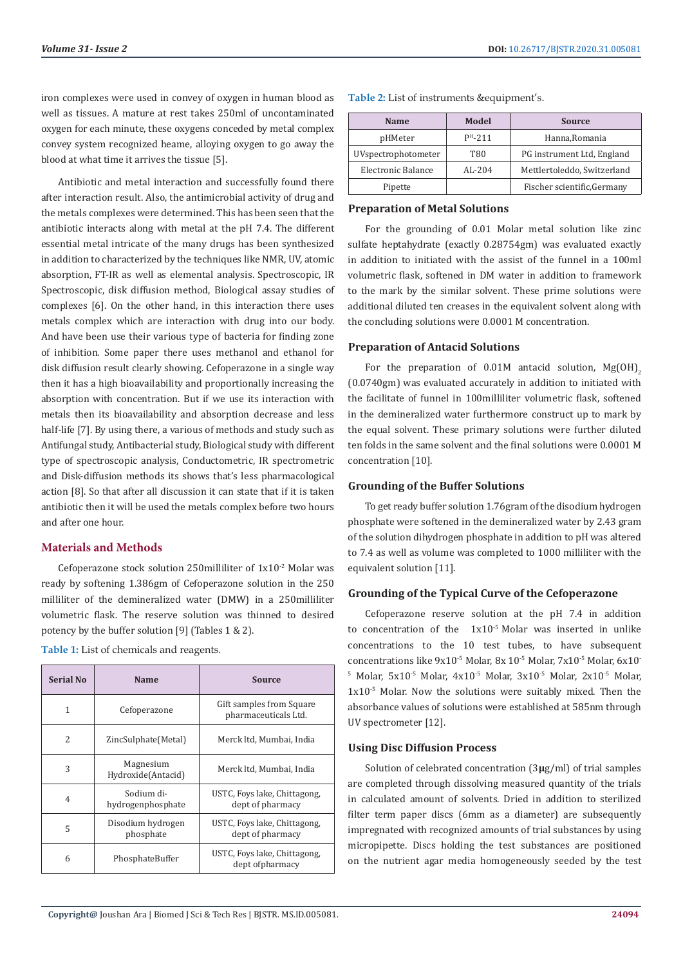iron complexes were used in convey of oxygen in human blood as well as tissues. A mature at rest takes 250ml of uncontaminated oxygen for each minute, these oxygens conceded by metal complex convey system recognized heame, alloying oxygen to go away the blood at what time it arrives the tissue [5].

Antibiotic and metal interaction and successfully found there after interaction result. Also, the antimicrobial activity of drug and the metals complexes were determined. This has been seen that the antibiotic interacts along with metal at the pH 7.4. The different essential metal intricate of the many drugs has been synthesized in addition to characterized by the techniques like NMR, UV, atomic absorption, FT-IR as well as elemental analysis. Spectroscopic, IR Spectroscopic, disk diffusion method, Biological assay studies of complexes [6]. On the other hand, in this interaction there uses metals complex which are interaction with drug into our body. And have been use their various type of bacteria for finding zone of inhibition. Some paper there uses methanol and ethanol for disk diffusion result clearly showing. Cefoperazone in a single way then it has a high bioavailability and proportionally increasing the absorption with concentration. But if we use its interaction with metals then its bioavailability and absorption decrease and less half-life [7]. By using there, a various of methods and study such as Antifungal study, Antibacterial study, Biological study with different type of spectroscopic analysis, Conductometric, IR spectrometric and Disk-diffusion methods its shows that's less pharmacological action [8]. So that after all discussion it can state that if it is taken antibiotic then it will be used the metals complex before two hours and after one hour.

## **Materials and Methods**

Cefoperazone stock solution 250milliliter of 1x10-2 Molar was ready by softening 1.386gm of Cefoperazone solution in the 250 milliliter of the demineralized water (DMW) in a 250milliliter volumetric flask. The reserve solution was thinned to desired potency by the buffer solution [9] (Tables 1 & 2).

| <b>Serial No</b> | Name                            | <b>Source</b>                                    |
|------------------|---------------------------------|--------------------------------------------------|
| 1                | Cefoperazone                    | Gift samples from Square<br>pharmaceuticals Ltd. |
| $\overline{c}$   | ZincSulphate(Metal)             | Merck ltd, Mumbai, India                         |
| 3                | Magnesium<br>Hydroxide(Antacid) | Merck ltd, Mumbai, India                         |
| $\overline{4}$   | Sodium di-<br>hydrogenphosphate | USTC, Foys lake, Chittagong,<br>dept of pharmacy |
| 5                | Disodium hydrogen<br>phosphate  | USTC, Foys lake, Chittagong,<br>dept of pharmacy |
| 6                | PhosphateBuffer                 | USTC, Foys lake, Chittagong,<br>dept of pharmacy |

**Table 1:** List of chemicals and reagents.

| Table 2: List of instruments & equipment's. |  |
|---------------------------------------------|--|
|---------------------------------------------|--|

| <b>Name</b>         | Model      | Source                      |
|---------------------|------------|-----------------------------|
| pHMeter             | $PH - 211$ | Hanna, Romania              |
| UVspectrophotometer | T80        | PG instrument Ltd, England  |
| Electronic Balance  | $AI - 204$ | Mettlertoleddo, Switzerland |
| Pipette             |            | Fischer scientific, Germany |

#### **Preparation of Metal Solutions**

For the grounding of 0.01 Molar metal solution like zinc sulfate heptahydrate (exactly 0.28754gm) was evaluated exactly in addition to initiated with the assist of the funnel in a 100ml volumetric flask, softened in DM water in addition to framework to the mark by the similar solvent. These prime solutions were additional diluted ten creases in the equivalent solvent along with the concluding solutions were 0.0001 M concentration.

#### **Preparation of Antacid Solutions**

For the preparation of  $0.01M$  antacid solution,  $Mg(OH)$ <sub>2</sub> (0.0740gm) was evaluated accurately in addition to initiated with the facilitate of funnel in 100milliliter volumetric flask, softened in the demineralized water furthermore construct up to mark by the equal solvent. These primary solutions were further diluted ten folds in the same solvent and the final solutions were 0.0001 M concentration [10].

# **Grounding of the Buffer Solutions**

To get ready buffer solution 1.76gram of the disodium hydrogen phosphate were softened in the demineralized water by 2.43 gram of the solution dihydrogen phosphate in addition to pH was altered to 7.4 as well as volume was completed to 1000 milliliter with the equivalent solution [11].

#### **Grounding of the Typical Curve of the Cefoperazone**

Cefoperazone reserve solution at the pH 7.4 in addition to concentration of the 1x10-5 Molar was inserted in unlike concentrations to the 10 test tubes, to have subsequent concentrations like 9x10-5 Molar, 8x 10-5 Molar, 7x10-5 Molar, 6x10-  $^{\circ}$  Molar, 5x10<sup>-5</sup> Molar, 4x10<sup>-5</sup> Molar, 3x10<sup>-5</sup> Molar, 2x10<sup>-5</sup> Molar, 1x10-5 Molar. Now the solutions were suitably mixed. Then the absorbance values of solutions were established at 585nm through UV spectrometer [12].

#### **Using Disc Diffusion Process**

Solution of celebrated concentration (3**µ**g/ml) of trial samples are completed through dissolving measured quantity of the trials in calculated amount of solvents. Dried in addition to sterilized filter term paper discs (6mm as a diameter) are subsequently impregnated with recognized amounts of trial substances by using micropipette. Discs holding the test substances are positioned on the nutrient agar media homogeneously seeded by the test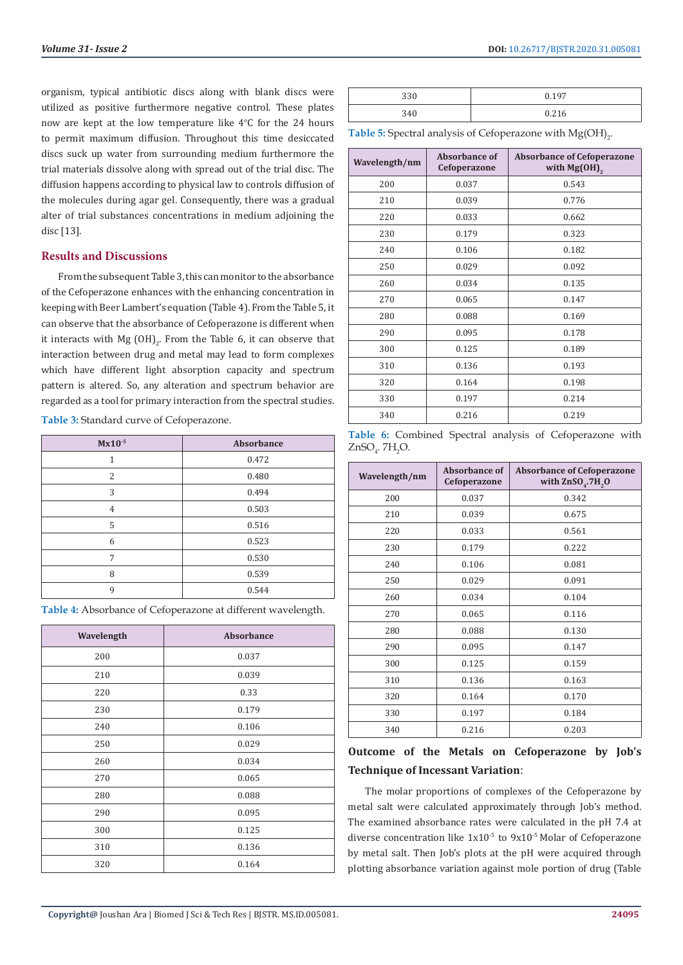organism, typical antibiotic discs along with blank discs were utilized as positive furthermore negative control. These plates now are kept at the low temperature like  $4^{\circ}$ C for the 24 hours to permit maximum diffusion. Throughout this time desiccated discs suck up water from surrounding medium furthermore the trial materials dissolve along with spread out of the trial disc. The diffusion happens according to physical law to controls diffusion of the molecules during agar gel. Consequently, there was a gradual alter of trial substances concentrations in medium adjoining the disc [13].

#### **Results and Discussions**

From the subsequent Table 3, this can monitor to the absorbance of the Cefoperazone enhances with the enhancing concentration in keeping with Beer Lambert's equation (Table 4). From the Table 5, it can observe that the absorbance of Cefoperazone is different when it interacts with Mg  $(OH)_{2}$ . From the Table 6, it can observe that interaction between drug and metal may lead to form complexes which have different light absorption capacity and spectrum pattern is altered. So, any alteration and spectrum behavior are regarded as a tool for primary interaction from the spectral studies.

**Table 3:** Standard curve of Cefoperazone.

| $Mx10^{-5}$ | Absorbance |
|-------------|------------|
|             | 0.472      |
| 2           | 0.480      |
| 3           | 0.494      |
| 4           | 0.503      |
| 5           | 0.516      |
| 6           | 0.523      |
| 7           | 0.530      |
| 8           | 0.539      |
| $\mathbf Q$ | 0.544      |

**Table 4:** Absorbance of Cefoperazone at different wavelength.

| Wavelength | Absorbance |
|------------|------------|
| 200        | 0.037      |
| 210        | 0.039      |
| 220        | 0.33       |
| 230        | 0.179      |
| 240        | 0.106      |
| 250        | 0.029      |
| 260        | 0.034      |
| 270        | 0.065      |
| 280        | 0.088      |
| 290        | 0.095      |
| 300        | 0.125      |
| 310        | 0.136      |
| 320        | 0.164      |

| 330 | 0.197 |
|-----|-------|
| 340 | 0.216 |

**Table 5:** Spectral analysis of Cefoperazone with  $Mg(OH)_{2}$ .

| Wavelength/nm | Absorbance of<br>Cefoperazone | <b>Absorbance of Cefoperazone</b><br>with $Mg(OH)$ , |
|---------------|-------------------------------|------------------------------------------------------|
| 200           | 0.037                         | 0.543                                                |
| 210           | 0.039                         | 0.776                                                |
| 220           | 0.033                         | 0.662                                                |
| 230           | 0.179                         | 0.323                                                |
| 240           | 0.106                         | 0.182                                                |
| 250           | 0.029                         | 0.092                                                |
| 260           | 0.034                         | 0.135                                                |
| 270           | 0.065                         | 0.147                                                |
| 280           | 0.088                         | 0.169                                                |
| 290           | 0.095                         | 0.178                                                |
| 300           | 0.125                         | 0.189                                                |
| 310           | 0.136                         | 0.193                                                |
| 320           | 0.164                         | 0.198                                                |
| 330           | 0.197                         | 0.214                                                |
| 340           | 0.216                         | 0.219                                                |

**Table 6:** Combined Spectral analysis of Cefoperazone with  $ZnSO_4$ . 7 $H_2O$ .

| Wavelength/nm | Absorbance of<br>Cefoperazone | <b>Absorbance of Cefoperazone</b><br>with $ZnSO$ <sub>4</sub> .7H <sub>2</sub> O |
|---------------|-------------------------------|----------------------------------------------------------------------------------|
| 200           | 0.037                         | 0.342                                                                            |
| 210           | 0.039                         | 0.675                                                                            |
| 220           | 0.033                         | 0.561                                                                            |
| 230           | 0.179                         | 0.222                                                                            |
| 240           | 0.106                         | 0.081                                                                            |
| 250           | 0.029                         | 0.091                                                                            |
| 260           | 0.034                         | 0.104                                                                            |
| 270           | 0.065                         | 0.116                                                                            |
| 280           | 0.088                         | 0.130                                                                            |
| 290           | 0.095                         | 0.147                                                                            |
| 300           | 0.125                         | 0.159                                                                            |
| 310           | 0.136                         | 0.163                                                                            |
| 320           | 0.164                         | 0.170                                                                            |
| 330           | 0.197                         | 0.184                                                                            |
| 340           | 0.216                         | 0.203                                                                            |

# **Outcome of the Metals on Cefoperazone by Job's Technique of Incessant Variation**:

The molar proportions of complexes of the Cefoperazone by metal salt were calculated approximately through Job's method. The examined absorbance rates were calculated in the pH 7.4 at diverse concentration like  $1x10^{-5}$  to  $9x10^{-5}$  Molar of Cefoperazone by metal salt. Then Job's plots at the pH were acquired through plotting absorbance variation against mole portion of drug (Table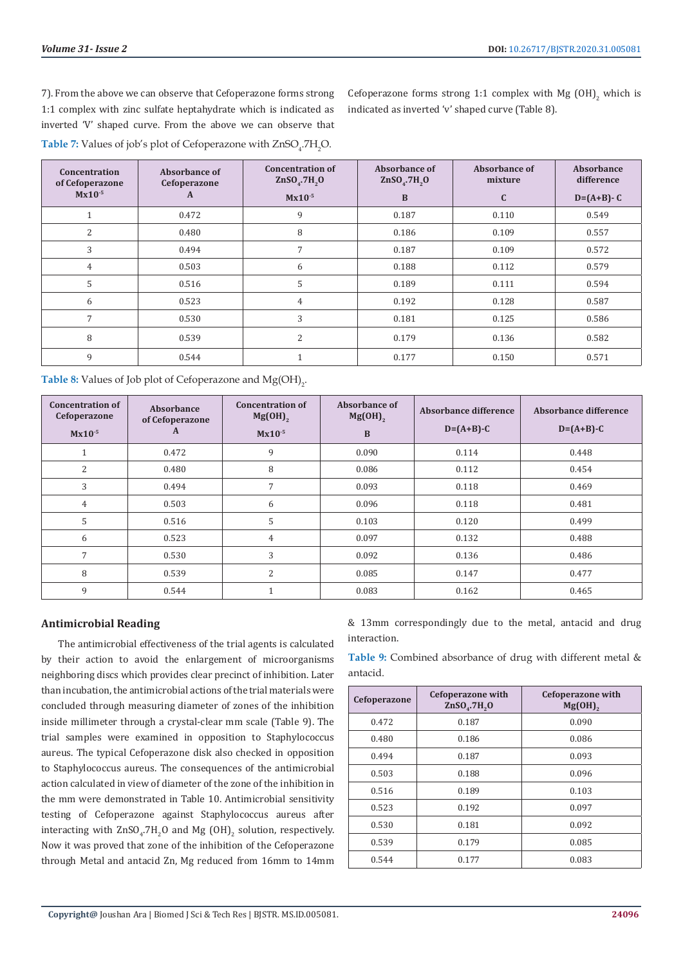7). From the above we can observe that Cefoperazone forms strong 1:1 complex with zinc sulfate heptahydrate which is indicated as inverted 'V' shaped curve. From the above we can observe that **Table 7:** Values of job's plot of Cefoperazone with  $\text{ZnSO}_4$ .7 $\text{H}_2\text{O}$ .

Cefoperazone forms strong 1:1 complex with Mg  $(OH)_2$  which is indicated as inverted 'v' shaped curve (Table 8).

| Concentration<br>of Cefoperazone | Absorbance of<br>Cefoperazone | <b>Concentration of</b><br>$ZnSO4$ .7H <sub>2</sub> O | Absorbance of<br>$ZnSO4$ .7H <sub>2</sub> O | Absorbance of<br>mixture | Absorbance<br>difference |
|----------------------------------|-------------------------------|-------------------------------------------------------|---------------------------------------------|--------------------------|--------------------------|
| $Mx10^{-5}$                      | A                             | $Mx10^{-5}$                                           | B                                           | $\mathbf{C}$             | $D = (A + B) - C$        |
|                                  | 0.472                         | 9                                                     | 0.187                                       | 0.110                    | 0.549                    |
| 2                                | 0.480                         | 8                                                     | 0.186                                       | 0.109                    | 0.557                    |
| 3                                | 0.494                         | 7                                                     | 0.187                                       | 0.109                    | 0.572                    |
| 4                                | 0.503                         | 6                                                     | 0.188                                       | 0.112                    | 0.579                    |
| 5                                | 0.516                         | 5                                                     | 0.189                                       | 0.111                    | 0.594                    |
| 6                                | 0.523                         | 4                                                     | 0.192                                       | 0.128                    | 0.587                    |
| $\overline{7}$                   | 0.530                         | 3                                                     | 0.181                                       | 0.125                    | 0.586                    |
| 8                                | 0.539                         | 2                                                     | 0.179                                       | 0.136                    | 0.582                    |
| 9                                | 0.544                         |                                                       | 0.177                                       | 0.150                    | 0.571                    |

**Table 8:** Values of Job plot of Cefoperazone and  $Mg(OH)_{2}$ .

| <b>Concentration of</b><br>Cefoperazone<br>$Mx10^{-5}$ | Absorbance<br>of Cefoperazone<br>A | <b>Concentration of</b><br>$Mg(OH)$ <sub>2</sub><br>$Mx10^{-5}$ | Absorbance of<br>$Mg(OH)$ <sub>2</sub><br>B | Absorbance difference<br>$D=(A+B)-C$ | Absorbance difference<br>$D=(A+B)-C$ |
|--------------------------------------------------------|------------------------------------|-----------------------------------------------------------------|---------------------------------------------|--------------------------------------|--------------------------------------|
|                                                        | 0.472                              | 9                                                               | 0.090                                       | 0.114                                | 0.448                                |
| $\overline{2}$                                         | 0.480                              | 8                                                               | 0.086                                       | 0.112                                | 0.454                                |
| 3                                                      | 0.494                              | 7                                                               | 0.093                                       | 0.118                                | 0.469                                |
| 4                                                      | 0.503                              | 6                                                               | 0.096                                       | 0.118                                | 0.481                                |
| 5                                                      | 0.516                              | 5                                                               | 0.103                                       | 0.120                                | 0.499                                |
| 6                                                      | 0.523                              | 4                                                               | 0.097                                       | 0.132                                | 0.488                                |
| 7                                                      | 0.530                              | 3                                                               | 0.092                                       | 0.136                                | 0.486                                |
| 8                                                      | 0.539                              | $\overline{2}$                                                  | 0.085                                       | 0.147                                | 0.477                                |
| 9                                                      | 0.544                              |                                                                 | 0.083                                       | 0.162                                | 0.465                                |

# **Antimicrobial Reading**

The antimicrobial effectiveness of the trial agents is calculated by their action to avoid the enlargement of microorganisms neighboring discs which provides clear precinct of inhibition. Later than incubation, the antimicrobial actions of the trial materials were concluded through measuring diameter of zones of the inhibition inside millimeter through a crystal-clear mm scale (Table 9). The trial samples were examined in opposition to Staphylococcus aureus. The typical Cefoperazone disk also checked in opposition to Staphylococcus aureus. The consequences of the antimicrobial action calculated in view of diameter of the zone of the inhibition in the mm were demonstrated in Table 10. Antimicrobial sensitivity testing of Cefoperazone against Staphylococcus aureus after interacting with  $ZnSO_4$ .  $7H_2O$  and Mg  $(OH)_2$  solution, respectively. Now it was proved that zone of the inhibition of the Cefoperazone through Metal and antacid Zn, Mg reduced from 16mm to 14mm

& 13mm correspondingly due to the metal, antacid and drug interaction.

**Table 9:** Combined absorbance of drug with different metal & antacid.

| Cefoperazone | <b>Cefoperazone with</b><br>$ZnSO4$ .7H <sub>2</sub> O | Cefoperazone with<br>$Mg(OH)$ , |
|--------------|--------------------------------------------------------|---------------------------------|
| 0.472        | 0.187                                                  | 0.090                           |
| 0.480        | 0.186                                                  | 0.086                           |
| 0.494        | 0.187                                                  | 0.093                           |
| 0.503        | 0.188                                                  | 0.096                           |
| 0.516        | 0.189                                                  | 0.103                           |
| 0.523        | 0.192                                                  | 0.097                           |
| 0.530        | 0.181                                                  | 0.092                           |
| 0.539        | 0.179                                                  | 0.085                           |
| 0.544        | 0.177                                                  | 0.083                           |